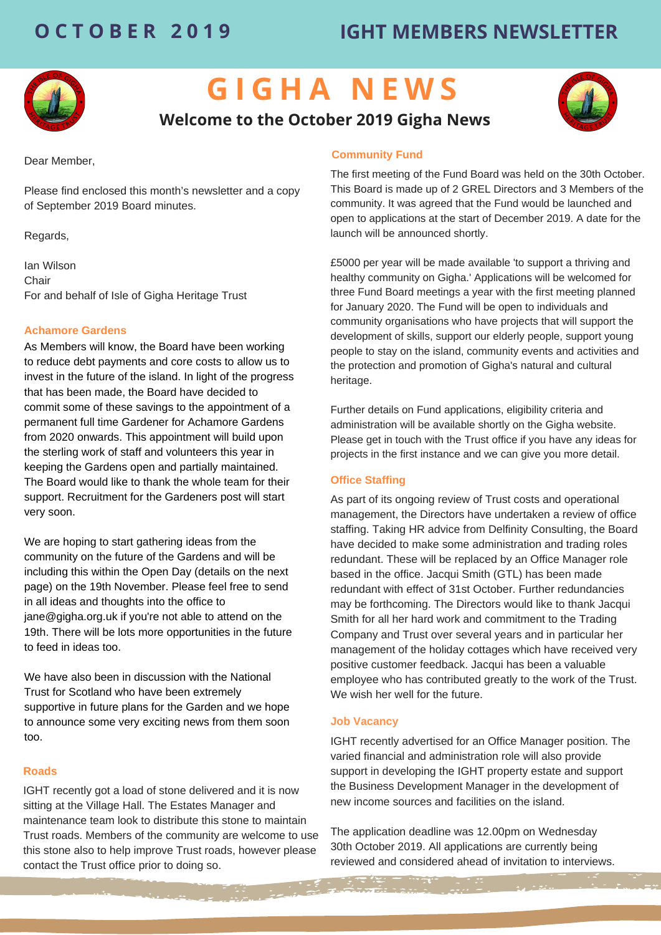# **O C T O B E R 2 0 1 9 IGHT MEMBERS NEWSLETTER**



# **G I G H A N E W S**

## **Welcome to the October 2019 Gigha News**

Dear Member,

Please find enclosed this month's newsletter and a copy of September 2019 Board minutes.

Regards,

Ian Wilson Chair For and behalf of Isle of Gigha Heritage Trust

### **Achamore Gardens**

As Members will know, the Board have been working to reduce debt payments and core costs to allow us to invest in the future of the island. In light of the progress that has been made, the Board have decided to commit some of these savings to the appointment of a permanent full time Gardener for Achamore Gardens from 2020 onwards. This appointment will build upon the sterling work of staff and volunteers this year in keeping the Gardens open and partially maintained. The Board would like to thank the whole team for their support. Recruitment for the Gardeners post will start very soon.

We are hoping to start gathering ideas from the community on the future of the Gardens and will be including this within the Open Day (details on the next page) on the 19th November. Please feel free to send in all ideas and thoughts into the office to jane@gigha.org.uk if you're not able to attend on the 19th. There will be lots more opportunities in the future to feed in ideas too.

We have also been in discussion with the National Trust for Scotland who have been extremely supportive in future plans for the Garden and we hope to announce some very exciting news from them soon too.

#### **Roads**

IGHT recently got a load of stone delivered and it is now sitting at the Village Hall. The Estates Manager and maintenance team look to distribute this stone to maintain Trust roads. Members of the community are welcome to use this stone also to help improve Trust roads, however please contact the Trust office prior to doing so.

### **Community Fund**

The first meeting of the Fund Board was held on the 30th October. This Board is made up of 2 GREL Directors and 3 Members of the community. It was agreed that the Fund would be launched and open to applications at the start of December 2019. A date for the launch will be announced shortly.

£5000 per year will be made available 'to support a thriving and healthy community on Gigha.' Applications will be welcomed for three Fund Board meetings a year with the first meeting planned for January 2020. The Fund will be open to individuals and community organisations who have projects that will support the development of skills, support our elderly people, support young people to stay on the island, community events and activities and the protection and promotion of Gigha's natural and cultural heritage.

Further details on Fund applications, eligibility criteria and administration will be available shortly on the Gigha website. Please get in touch with the Trust office if you have any ideas for projects in the first instance and we can give you more detail.

### **Office Staffing**

As part of its ongoing review of Trust costs and operational management, the Directors have undertaken a review of office staffing. Taking HR advice from Delfinity Consulting, the Board have decided to make some administration and trading roles redundant. These will be replaced by an Office Manager role based in the office. Jacqui Smith (GTL) has been made redundant with effect of 31st October. Further redundancies may be forthcoming. The Directors would like to thank Jacqui Smith for all her hard work and commitment to the Trading Company and Trust over several years and in particular her management of the holiday cottages which have received very positive customer feedback. Jacqui has been a valuable employee who has contributed greatly to the work of the Trust. We wish her well for the future.

### **Job Vacancy**

IGHT recently advertised for an Office Manager position. The varied financial and administration role will also provide support in developing the IGHT property estate and support the Business Development Manager in the development of new income sources and facilities on the island.

The application deadline was 12.00pm on Wednesday 30th October 2019. All applications are currently being reviewed and considered ahead of invitation to interviews.

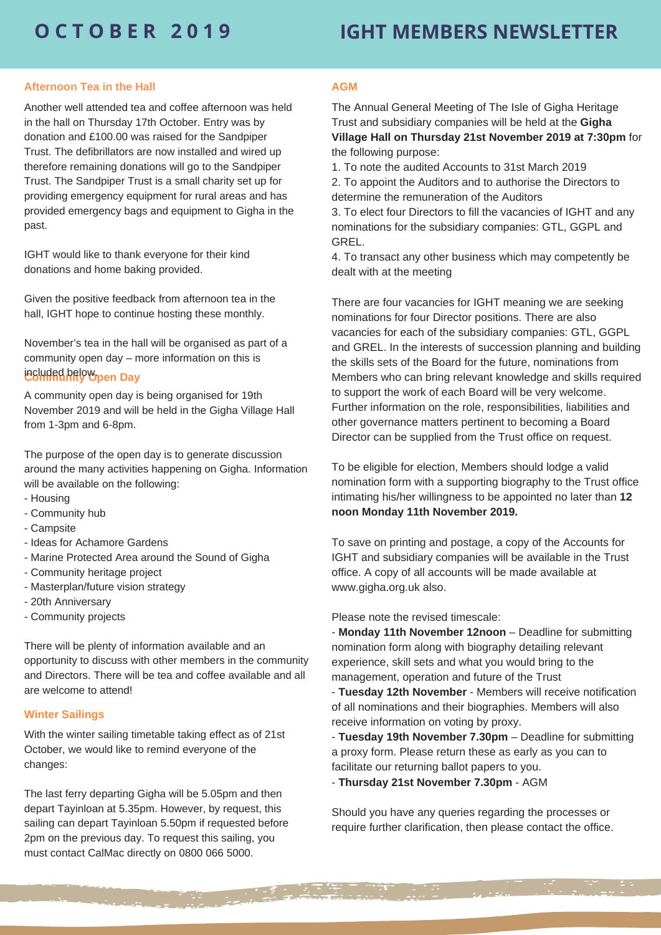# **O C T O B E R 2 0 1 9 IGHT MEMBERS NEWSLETTER**

#### **Afternoon Tea in the Hall**

Another well attended tea and coffee afternoon was held in the hall on Thursday 17th October. Entry was by donation and £100.00 was raised for the Sandpiper Trust. The defibrillators are now installed and wired up therefore remaining donations will go to the Sandpiper Trust. The Sandpiper Trust is a small charity set up for providing emergency equipment for rural areas and has provided emergency bags and equipment to Gigha in the past.

IGHT would like to thank everyone for their kind donations and home baking provided.

Given the positive feedback from afternoon tea in the hall, IGHT hope to continue hosting these monthly.

November's tea in the hall will be organised as part of a community open day – more information on this is

### **Community Open Day** included below.

A community open day is being organised for 19th November 2019 and will be held in the Gigha Village Hall from 1-3pm and 6-8pm.

The purpose of the open day is to generate discussion around the many activities happening on Gigha. Information will be available on the following:

- Housing
- Community hub
- Campsite
- Ideas for Achamore Gardens
- Marine Protected Area around the Sound of Gigha
- Community heritage project
- Masterplan/future vision strategy
- 20th Anniversary
- Community projects

There will be plenty of information available and an opportunity to discuss with other members in the community and Directors. There will be tea and coffee available and all are welcome to attend!

#### **Winter Sailings**

With the winter sailing timetable taking effect as of 21st October, we would like to remind everyone of the changes:

The last ferry departing Gigha will be 5.05pm and then depart Tayinloan at 5.35pm. However, by request, this sailing can depart Tayinloan 5.50pm if requested before 2pm on the previous day. To request this sailing, you must contact CalMac directly on 0800 066 5000.

#### **AGM**

The Annual General Meeting of The Isle of Gigha Heritage Trust and subsidiary companies will be held at the **Gigha Village Hall on Thursday 21st November 2019 at 7:30pm** for the following purpose:

1. To note the audited Accounts to 31st March 2019

2. To appoint the Auditors and to authorise the Directors to determine the remuneration of the Auditors

3. To elect four Directors to fill the vacancies of IGHT and any nominations for the subsidiary companies: GTL, GGPL and GREL.

4. To transact any other business which may competently be dealt with at the meeting

There are four vacancies for IGHT meaning we are seeking nominations for four Director positions. There are also vacancies for each of the subsidiary companies: GTL, GGPL and GREL. In the interests of succession planning and building the skills sets of the Board for the future, nominations from Members who can bring relevant knowledge and skills required to support the work of each Board will be very welcome. Further information on the role, responsibilities, liabilities and other governance matters pertinent to becoming a Board Director can be supplied from the Trust office on request.

To be eligible for election, Members should lodge a valid nomination form with a supporting biography to the Trust office intimating his/her willingness to be appointed no later than **12 noon Monday 11th November 2019.**

To save on printing and postage, a copy of the Accounts for IGHT and subsidiary companies will be available in the Trust office. A copy of all accounts will be made available at www.gigha.org.uk also.

Please note the revised timescale:

- **Monday 11th November 12noon** – Deadline for submitting nomination form along with biography detailing relevant experience, skill sets and what you would bring to the management, operation and future of the Trust

- **Tuesday 12th November** - Members will receive notification of all nominations and their biographies. Members will also receive information on voting by proxy.

- **Tuesday 19th November 7.30pm** – Deadline for submitting a proxy form. Please return these as early as you can to facilitate our returning ballot papers to you.

- **Thursday 21st November 7.30pm** - AGM

Should you have any queries regarding the processes or require further clarification, then please contact the office.